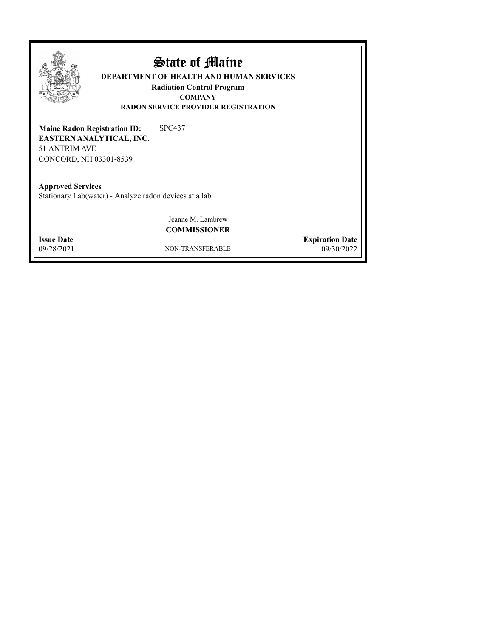

## State of Maine

**DEPARTMENT OF HEALTH AND HUMAN SERVICES**

**Radiation Control Program COMPANY RADON SERVICE PROVIDER REGISTRATION**

SPC437 **EASTERN ANALYTICAL, INC.** 51 ANTRIM AVE CONCORD, NH 03301-8539 **Maine Radon Registration ID:**

**Approved Services** Stationary Lab(water) - Analyze radon devices at a lab

> Jeanne M. Lambrew **COMMISSIONER**

09/28/2021

NON-TRANSFERABLE

09/30/2022 **Issue Date Expiration Date**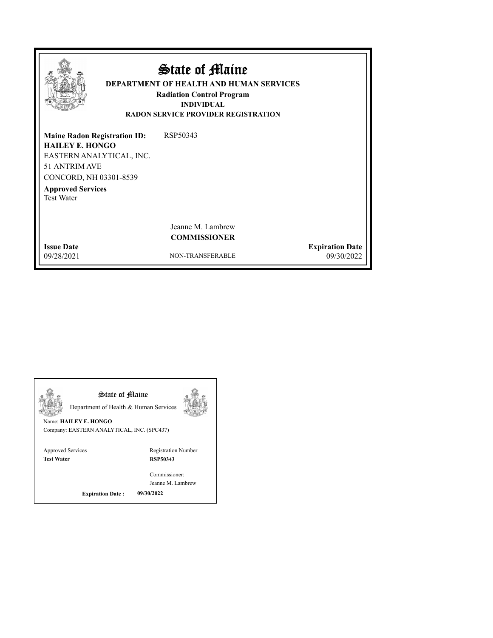|                                                                                                                                                                                       | State of Maine<br><b>DEPARTMENT OF HEALTH AND HUMAN SERVICES</b><br><b>Radiation Control Program</b><br><b>INDIVIDUAL</b><br><b>RADON SERVICE PROVIDER REGISTRATION</b> |                        |
|---------------------------------------------------------------------------------------------------------------------------------------------------------------------------------------|-------------------------------------------------------------------------------------------------------------------------------------------------------------------------|------------------------|
| <b>Maine Radon Registration ID:</b><br><b>HAILEY E. HONGO</b><br>EASTERN ANALYTICAL, INC.<br>51 ANTRIM AVE<br>CONCORD, NH 03301-8539<br><b>Approved Services</b><br><b>Test Water</b> | RSP50343                                                                                                                                                                |                        |
| <b>Issue Date</b>                                                                                                                                                                     | Jeanne M. Lambrew<br><b>COMMISSIONER</b>                                                                                                                                | <b>Expiration Date</b> |
| 09/28/2021                                                                                                                                                                            | NON-TRANSFERABLE                                                                                                                                                        | 09/30/2022             |